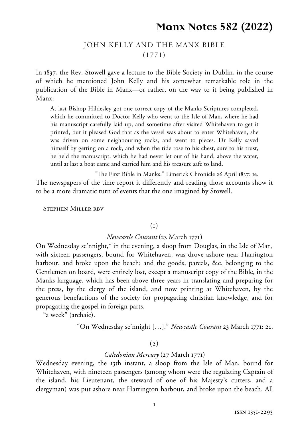# **Manx Notes 582 (2022)**

## JOHN KELLY AND THE MANX BIBLE (1771)

In 1837, the Rev. Stowell gave a lecture to the Bible Society in Dublin, in the course of which he mentioned John Kelly and his somewhat remarkable role in the publication of the Bible in Manx—or rather, on the way to it being published in Manx:

At last Bishop Hildesley got one correct copy of the Manks Scriptures completed, which he committed to Doctor Kelly who went to the Isle of Man, where he had his manuscript carefully laid up, and sometime after visited Whitehaven to get it printed, but it pleased God that as the vessel was about to enter Whitehaven, she was driven on some neighbouring rocks, and went to pieces. Dr Kelly saved himself by getting on a rock, and when the tide rose to his chest, sure to his trust, he held the manuscript, which he had never let out of his hand, above the water, until at last a boat came and carried him and his treasure safe to land.

"The First Bible in Manks." Limerick Chronicle 26 April 1837: 1e. The newspapers of the time report it differently and reading those accounts show it to be a more dramatic turn of events that the one imagined by Stowell.

Stephen Miller rbv

#### (1)

#### *Newcastle Courant* (23 March 1771)

On Wednesday se'nnight,\* in the evening, a sloop from Douglas, in the Isle of Man, with sixteen passengers, bound for Whitehaven, was drove ashore near Harrington harbour, and broke upon the beach; and the goods, parcels, &c. belonging to the Gentlemen on board, were entirely lost, except a manuscript copy of the Bible, in the Manks language, which has been above three years in translating and preparing for the press, by the clergy of the island, and now printing at Whitehaven, by the generous benefactions of the society for propagating christian knowledge, and for propagating the gospel in foreign parts.

"a week" (archaic).

"On Wednesday se'nnight […]." *Newcastle Courant* 23 March 1771: 2c.

### $(2)$

#### *Caledonian Mercury* (27 March 1771)

Wednesday evening, the 13th instant, a sloop from the Isle of Man, bound for Whitehaven, with nineteen passengers (among whom were the regulating Captain of the island, his Lieutenant, the steward of one of his Majesty's cutters, and a clergyman) was put ashore near Harrington harbour, and broke upon the beach. All